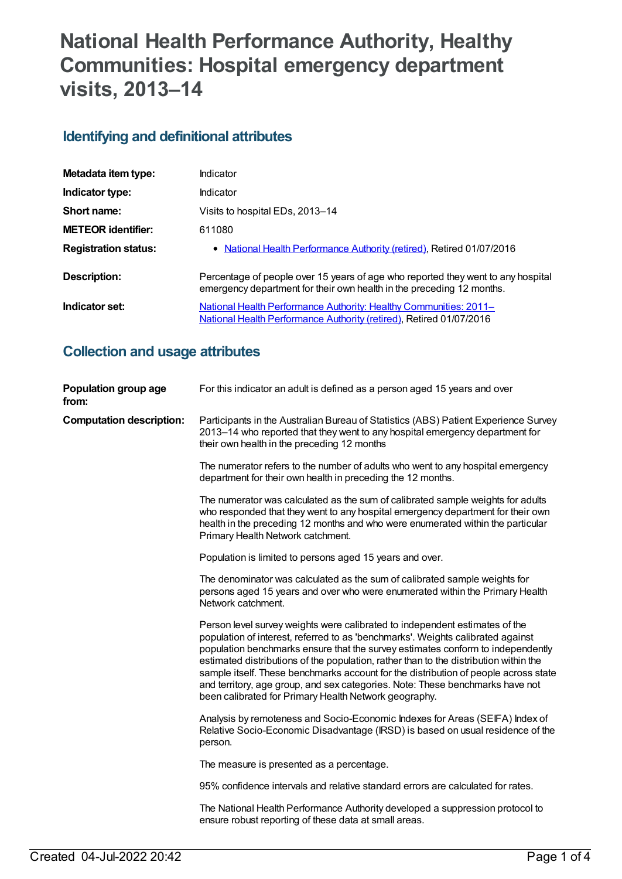# **National Health Performance Authority, Healthy Communities: Hospital emergency department visits, 2013–14**

# **Identifying and definitional attributes**

| Metadata item type:         | Indicator                                                                                                                                                 |
|-----------------------------|-----------------------------------------------------------------------------------------------------------------------------------------------------------|
| Indicator type:             | Indicator                                                                                                                                                 |
| Short name:                 | Visits to hospital EDs, 2013-14                                                                                                                           |
| <b>METEOR identifier:</b>   | 611080                                                                                                                                                    |
| <b>Registration status:</b> | • National Health Performance Authority (retired), Retired 01/07/2016                                                                                     |
| Description:                | Percentage of people over 15 years of age who reported they went to any hospital<br>emergency department for their own health in the preceding 12 months. |
| Indicator set:              | National Health Performance Authority: Healthy Communities: 2011-<br>National Health Performance Authority (retired), Retired 01/07/2016                  |

# **Collection and usage attributes**

| Population group age<br>from:   | For this indicator an adult is defined as a person aged 15 years and over                                                                                                                                                                                                                                                                                                                                                                                                                                                                                                   |
|---------------------------------|-----------------------------------------------------------------------------------------------------------------------------------------------------------------------------------------------------------------------------------------------------------------------------------------------------------------------------------------------------------------------------------------------------------------------------------------------------------------------------------------------------------------------------------------------------------------------------|
| <b>Computation description:</b> | Participants in the Australian Bureau of Statistics (ABS) Patient Experience Survey<br>2013-14 who reported that they went to any hospital emergency department for<br>their own health in the preceding 12 months                                                                                                                                                                                                                                                                                                                                                          |
|                                 | The numerator refers to the number of adults who went to any hospital emergency<br>department for their own health in preceding the 12 months.                                                                                                                                                                                                                                                                                                                                                                                                                              |
|                                 | The numerator was calculated as the sum of calibrated sample weights for adults<br>who responded that they went to any hospital emergency department for their own<br>health in the preceding 12 months and who were enumerated within the particular<br>Primary Health Network catchment.                                                                                                                                                                                                                                                                                  |
|                                 | Population is limited to persons aged 15 years and over.                                                                                                                                                                                                                                                                                                                                                                                                                                                                                                                    |
|                                 | The denominator was calculated as the sum of calibrated sample weights for<br>persons aged 15 years and over who were enumerated within the Primary Health<br>Network catchment.                                                                                                                                                                                                                                                                                                                                                                                            |
|                                 | Person level survey weights were calibrated to independent estimates of the<br>population of interest, referred to as 'benchmarks'. Weights calibrated against<br>population benchmarks ensure that the survey estimates conform to independently<br>estimated distributions of the population, rather than to the distribution within the<br>sample itself. These benchmarks account for the distribution of people across state<br>and territory, age group, and sex categories. Note: These benchmarks have not<br>been calibrated for Primary Health Network geography. |
|                                 | Analysis by remoteness and Socio-Economic Indexes for Areas (SEIFA) Index of<br>Relative Socio-Economic Disadvantage (IRSD) is based on usual residence of the<br>person.                                                                                                                                                                                                                                                                                                                                                                                                   |
|                                 | The measure is presented as a percentage.                                                                                                                                                                                                                                                                                                                                                                                                                                                                                                                                   |
|                                 | 95% confidence intervals and relative standard errors are calculated for rates.                                                                                                                                                                                                                                                                                                                                                                                                                                                                                             |
|                                 | The National Health Performance Authority developed a suppression protocol to<br>ensure robust reporting of these data at small areas.                                                                                                                                                                                                                                                                                                                                                                                                                                      |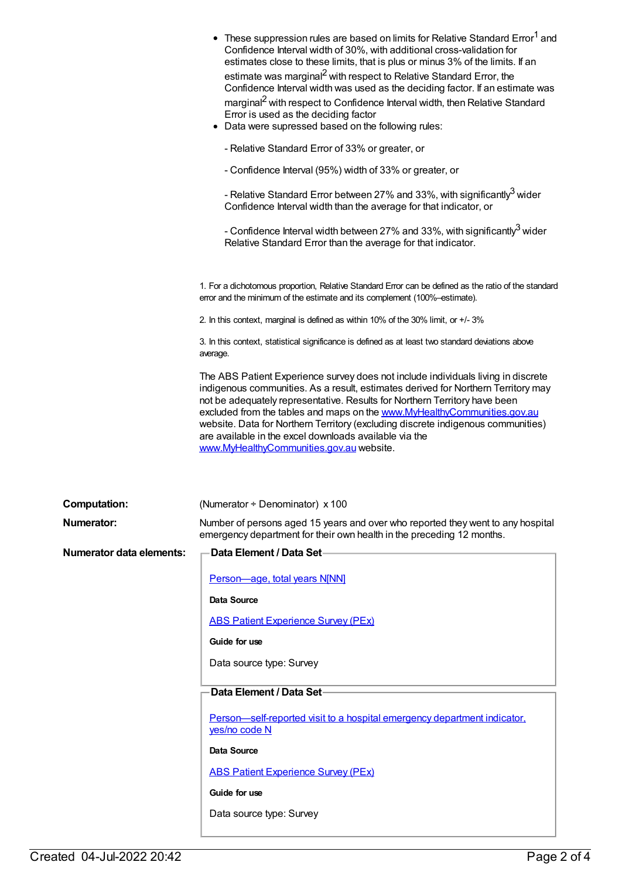|                                 | • These suppression rules are based on limits for Relative Standard Error <sup>1</sup> and<br>Confidence Interval width of 30%, with additional cross-validation for<br>estimates close to these limits, that is plus or minus 3% of the limits. If an<br>estimate was marginal <sup>2</sup> with respect to Relative Standard Error, the<br>Confidence Interval width was used as the deciding factor. If an estimate was<br>marginal <sup>2</sup> with respect to Confidence Interval width, then Relative Standard<br>Error is used as the deciding factor<br>• Data were supressed based on the following rules:<br>- Relative Standard Error of 33% or greater, or<br>- Confidence Interval (95%) width of 33% or greater, or<br>- Relative Standard Error between 27% and 33%, with significantly <sup>3</sup> wider<br>Confidence Interval width than the average for that indicator, or<br>- Confidence Interval width between 27% and 33%, with significantly <sup>3</sup> wider<br>Relative Standard Error than the average for that indicator. |
|---------------------------------|-----------------------------------------------------------------------------------------------------------------------------------------------------------------------------------------------------------------------------------------------------------------------------------------------------------------------------------------------------------------------------------------------------------------------------------------------------------------------------------------------------------------------------------------------------------------------------------------------------------------------------------------------------------------------------------------------------------------------------------------------------------------------------------------------------------------------------------------------------------------------------------------------------------------------------------------------------------------------------------------------------------------------------------------------------------|
|                                 | 1. For a dichotomous proportion, Relative Standard Error can be defined as the ratio of the standard<br>error and the minimum of the estimate and its complement (100%-estimate).                                                                                                                                                                                                                                                                                                                                                                                                                                                                                                                                                                                                                                                                                                                                                                                                                                                                         |
|                                 | 2. In this context, marginal is defined as within 10% of the 30% limit, or +/- 3%                                                                                                                                                                                                                                                                                                                                                                                                                                                                                                                                                                                                                                                                                                                                                                                                                                                                                                                                                                         |
|                                 | 3. In this context, statistical significance is defined as at least two standard deviations above<br>average.                                                                                                                                                                                                                                                                                                                                                                                                                                                                                                                                                                                                                                                                                                                                                                                                                                                                                                                                             |
|                                 | The ABS Patient Experience survey does not include individuals living in discrete<br>indigenous communities. As a result, estimates derived for Northern Territory may<br>not be adequately representative. Results for Northern Territory have been<br>excluded from the tables and maps on the www.MyHealthyCommunities.gov.au<br>website. Data for Northern Territory (excluding discrete indigenous communities)<br>are available in the excel downloads available via the<br>www.MyHealthyCommunities.gov.au website.                                                                                                                                                                                                                                                                                                                                                                                                                                                                                                                                |
| <b>Computation:</b>             | (Numerator + Denominator) x 100                                                                                                                                                                                                                                                                                                                                                                                                                                                                                                                                                                                                                                                                                                                                                                                                                                                                                                                                                                                                                           |
| <b>Numerator:</b>               | Number of persons aged 15 years and over who reported they went to any hospital                                                                                                                                                                                                                                                                                                                                                                                                                                                                                                                                                                                                                                                                                                                                                                                                                                                                                                                                                                           |
|                                 | emergency department for their own health in the preceding 12 months.                                                                                                                                                                                                                                                                                                                                                                                                                                                                                                                                                                                                                                                                                                                                                                                                                                                                                                                                                                                     |
| <b>Numerator data elements:</b> | Data Element / Data Set-                                                                                                                                                                                                                                                                                                                                                                                                                                                                                                                                                                                                                                                                                                                                                                                                                                                                                                                                                                                                                                  |
|                                 | Person-age, total years N[NN]                                                                                                                                                                                                                                                                                                                                                                                                                                                                                                                                                                                                                                                                                                                                                                                                                                                                                                                                                                                                                             |
|                                 | Data Source                                                                                                                                                                                                                                                                                                                                                                                                                                                                                                                                                                                                                                                                                                                                                                                                                                                                                                                                                                                                                                               |
|                                 | <b>ABS Patient Experience Survey (PEx)</b>                                                                                                                                                                                                                                                                                                                                                                                                                                                                                                                                                                                                                                                                                                                                                                                                                                                                                                                                                                                                                |
|                                 | Guide for use                                                                                                                                                                                                                                                                                                                                                                                                                                                                                                                                                                                                                                                                                                                                                                                                                                                                                                                                                                                                                                             |
|                                 | Data source type: Survey                                                                                                                                                                                                                                                                                                                                                                                                                                                                                                                                                                                                                                                                                                                                                                                                                                                                                                                                                                                                                                  |
|                                 | Data Element / Data Set-                                                                                                                                                                                                                                                                                                                                                                                                                                                                                                                                                                                                                                                                                                                                                                                                                                                                                                                                                                                                                                  |
|                                 | Person-self-reported visit to a hospital emergency department indicator.<br>yes/no code N                                                                                                                                                                                                                                                                                                                                                                                                                                                                                                                                                                                                                                                                                                                                                                                                                                                                                                                                                                 |
|                                 | Data Source                                                                                                                                                                                                                                                                                                                                                                                                                                                                                                                                                                                                                                                                                                                                                                                                                                                                                                                                                                                                                                               |
|                                 | <b>ABS Patient Experience Survey (PEx)</b>                                                                                                                                                                                                                                                                                                                                                                                                                                                                                                                                                                                                                                                                                                                                                                                                                                                                                                                                                                                                                |
|                                 | Guide for use                                                                                                                                                                                                                                                                                                                                                                                                                                                                                                                                                                                                                                                                                                                                                                                                                                                                                                                                                                                                                                             |
|                                 | Data source type: Survey                                                                                                                                                                                                                                                                                                                                                                                                                                                                                                                                                                                                                                                                                                                                                                                                                                                                                                                                                                                                                                  |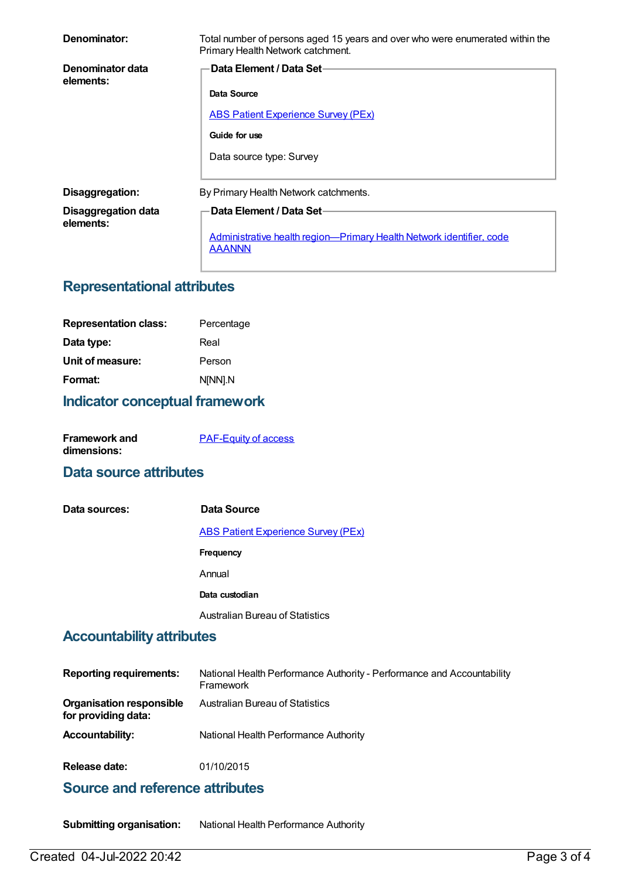| Denominator:                     | Total number of persons aged 15 years and over who were enumerated within the<br>Primary Health Network catchment. |
|----------------------------------|--------------------------------------------------------------------------------------------------------------------|
| Denominator data<br>elements:    | Data Element / Data Set-                                                                                           |
|                                  | Data Source                                                                                                        |
|                                  | <b>ABS Patient Experience Survey (PEx)</b>                                                                         |
|                                  | Guide for use                                                                                                      |
|                                  | Data source type: Survey                                                                                           |
| Disaggregation:                  | By Primary Health Network catchments.                                                                              |
| Disaggregation data<br>elements: | Data Element / Data Set-                                                                                           |
|                                  | Administrative health region-Primary Health Network identifier, code<br><b>AAANNN</b>                              |

# **Representational attributes**

| Percentage |
|------------|
| Real       |
| Person     |
| N[NN].N    |
|            |

# **Indicator conceptual framework**

| <b>Framework and</b> | <b>PAF-Equity of access</b> |
|----------------------|-----------------------------|
| dimensions:          |                             |

#### **Data source attributes**

| Data sources: | Data Source                                |
|---------------|--------------------------------------------|
|               | <b>ABS Patient Experience Survey (PEx)</b> |
|               | Frequency                                  |
|               | Annual                                     |
|               | Data custodian                             |
|               | <b>Australian Bureau of Statistics</b>     |

#### **Accountability attributes**

| <b>Reporting requirements:</b>                         | National Health Performance Authority - Performance and Accountability<br>Framework |
|--------------------------------------------------------|-------------------------------------------------------------------------------------|
| <b>Organisation responsible</b><br>for providing data: | <b>Australian Bureau of Statistics</b>                                              |
| <b>Accountability:</b>                                 | National Health Performance Authority                                               |
| Release date:                                          | 01/10/2015                                                                          |

#### **Source and reference attributes**

**Submitting organisation:** National Health Performance Authority